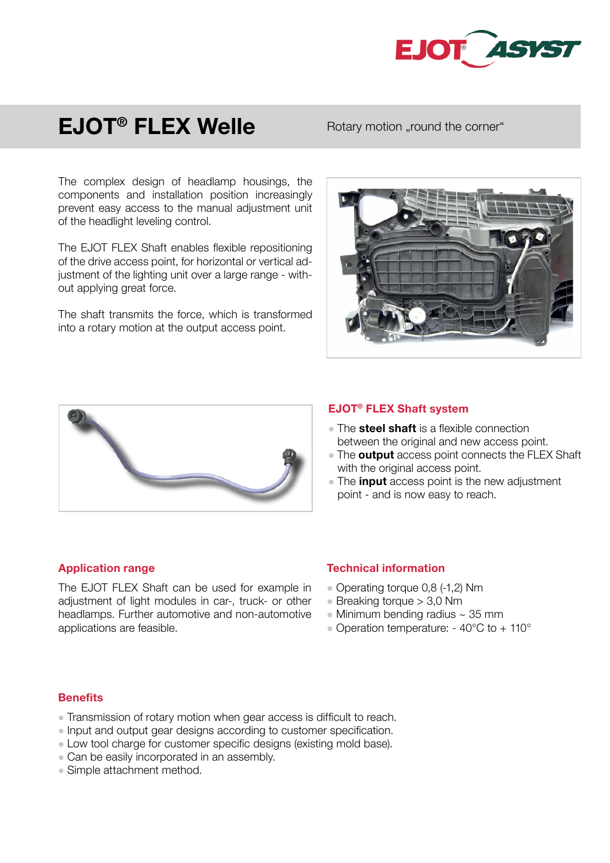

# EJOT® FLEX Welle

# Rotary motion "round the corner"

The complex design of headlamp housings, the components and installation position increasingly prevent easy access to the manual adjustment unit of the headlight leveling control.

The EJOT FLEX Shaft enables flexible repositioning of the drive access point, for horizontal or vertical adjustment of the lighting unit over a large range - without applying great force.

The shaft transmits the force, which is transformed into a rotary motion at the output access point.





### EJOT® FLEX Shaft system

- The **steel shaft** is a flexible connection between the original and new access point.
- The **output** access point connects the FLEX Shaft with the original access point.
- $\bullet$  The input access point is the new adjustment point - and is now easy to reach.

## Application range

The EJOT FLEX Shaft can be used for example in adjustment of light modules in car-, truck- or other headlamps. Further automotive and non-automotive applications are feasible.

## Technical information

- Operating torque 0,8 (-1,2) Nm
- $\bullet$  Breaking torque  $> 3.0$  Nm
- $\bullet$  Minimum bending radius  $\sim$  35 mm
- Operation temperature:  $-40^{\circ}$ C to  $+110^{\circ}$

#### **Benefits**

- Transmission of rotary motion when gear access is difficult to reach.
- Input and output gear designs according to customer specification.
- Low tool charge for customer specific designs (existing mold base).
- Can be easily incorporated in an assembly.
- Simple attachment method.